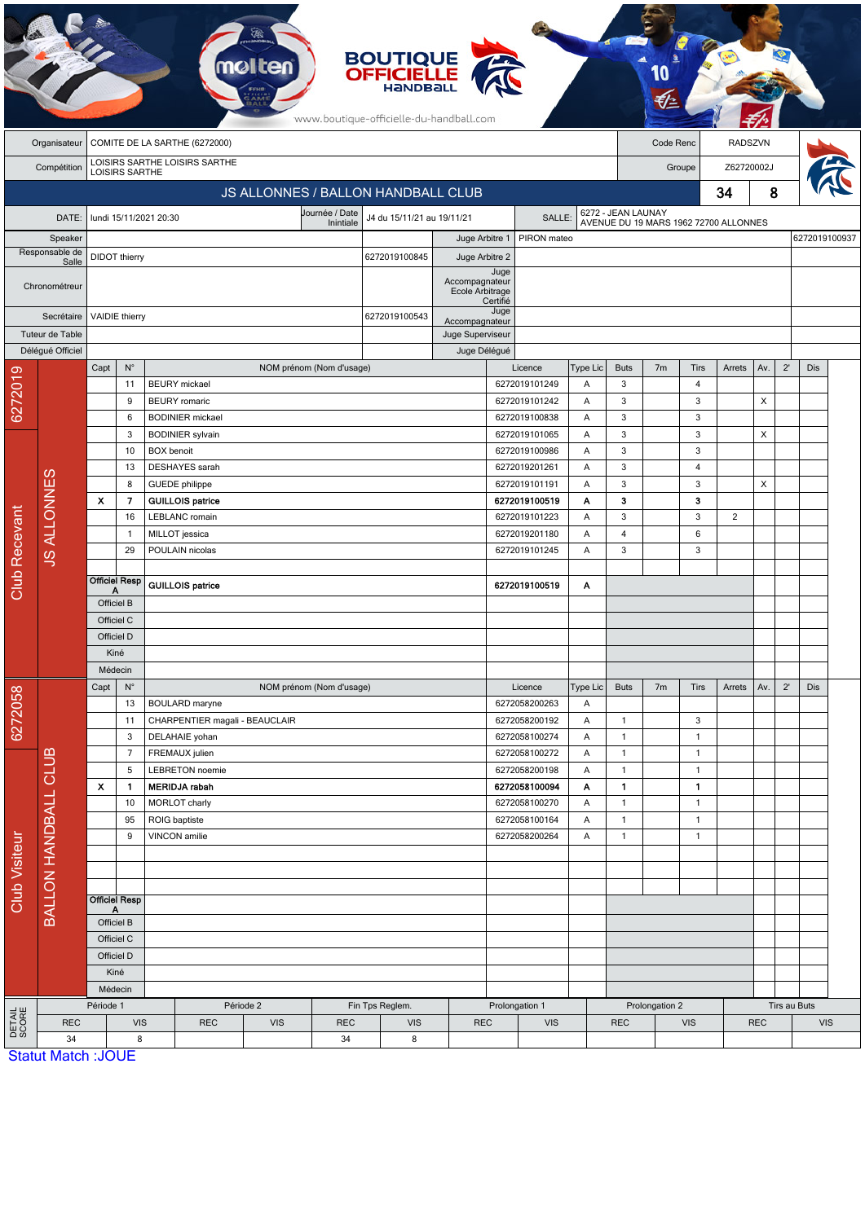| www.boutique-officielle-du-handball.com<br>Organisateur<br>COMITE DE LA SARTHE (6272000)<br>Code Renc<br><b>RADSZVN</b><br>LOISIRS SARTHE LOISIRS SARTHE<br>Z62720002J<br>Compétition<br>Groupe<br><b>LOISIRS SARTHE</b><br>8<br>34<br>JS ALLONNES / BALLON HANDBALL CLUB<br>6272 - JEAN LAUNAY<br>Journée / Date<br>J4 du 15/11/21 au 19/11/21<br>SALLE:<br>DATE:<br>lundi 15/11/2021 20:30<br>AVENUE DU 19 MARS 1962 72700 ALLONNES<br>Inintiale<br>6272019100937<br>Juge Arbitre 1<br>PIRON mateo<br>Speaker<br>Responsable de<br><b>DIDOT</b> thierry<br>6272019100845<br>Juge Arbitre 2<br>Salle<br>Juge<br>Accompagnateur<br>Chronométreur<br>Ecole Arbitrage<br>Certifié<br>Juge<br><b>VAIDIE</b> thierry<br>6272019100543<br>Secrétaire<br>Accompagnateur<br>Tuteur de Table<br>Juge Superviseur<br>Délégué Officiel<br>Juge Délégué<br>$\mathsf{N}^\circ$<br>$2^{\prime}$<br>NOM prénom (Nom d'usage)<br>Licence<br>Type Lic<br><b>Buts</b><br>7m<br>Tirs<br>Arrets<br>Av.<br>Dis<br>Capt<br>6272019<br>3<br>11<br><b>BEURY</b> mickael<br>6272019101249<br>$\overline{4}$<br>Α<br><b>BEURY</b> romaric<br>6272019101242<br>3<br>3<br>X<br>9<br>Α<br>3<br>3<br>6<br><b>BODINIER</b> mickael<br>6272019100838<br>Α<br>6272019101065<br>3<br>3<br>X<br>3<br><b>BODINIER</b> sylvain<br>Α<br><b>BOX</b> benoit<br>6272019100986<br>3<br>3<br>10<br>Α<br>DESHAYES sarah<br>6272019201261<br>3<br>13<br>Α<br>$\overline{4}$<br><b>JS ALLONNES</b><br>3<br>X<br><b>GUEDE</b> philippe<br>6272019101191<br>3<br>8<br>Α<br>X.<br>7<br><b>GUILLOIS patrice</b><br>6272019100519<br>Α<br>3<br>з<br>Club Recevant<br>3<br>3<br>16<br>LEBLANC romain<br>6272019101223<br>Α<br>$\overline{2}$<br>$\overline{4}$<br>6<br>MILLOT jessica<br>6272019201180<br>Α<br>$\mathbf{1}$<br>3<br>3<br>29<br>POULAIN nicolas<br>6272019101245<br>Α<br><b>Officiel Resp</b><br><b>GUILLOIS</b> patrice<br>6272019100519<br>Α<br>Α<br>Officiel B<br>Officiel C<br>Officiel D<br>Kiné<br>Médecin<br>Capt<br>$N^{\circ}$<br>NOM prénom (Nom d'usage)<br>Licence<br>Type Lic<br><b>Buts</b><br>7 <sub>m</sub><br>Av.<br>$2^{\prime}$<br>Dis<br>Tirs<br>Arrets<br>6272058<br>6272058200263<br>13<br><b>BOULARD</b> maryne<br>Α<br>CHARPENTIER magali - BEAUCLAIR<br>6272058200192<br>$\mathbf{1}$<br>3<br>11<br>Α<br>6272058100274<br>$\mathbf{1}$<br>3<br>DELAHAIE yohan<br>$\mathbf{1}$<br>Α<br>CLUB<br>FREMAUX julien<br>6272058100272<br>$\mathbf{1}$<br>7<br>Α<br>$\mathbf{1}$<br>5<br><b>LEBRETON</b> noemie<br>6272058200198<br>$\mathbf{1}$<br>$\mathbf{1}$<br>Α<br>$\mathbf{1}$<br>$\mathbf{1}$<br>X<br>1<br><b>MERIDJA</b> rabah<br>6272058100094<br>Α<br>BALLON HANDBALL<br>$\mathbf{1}$<br>10<br>MORLOT charly<br>6272058100270<br>Α<br>$\mathbf{1}$<br>$\mathbf{1}$<br>95<br>ROIG baptiste<br>6272058100164<br>Α<br>$\mathbf{1}$<br>Club Visiteur<br>VINCON amilie<br>6272058200264<br>$\mathbf{1}$<br>9<br>Α<br>$\mathbf{1}$<br><b>Officiel Resp</b><br>Α<br>Officiel B<br>Officiel C<br>Officiel D<br>Kiné<br>Médecin<br>Période 1<br>Période 2<br>Fin Tps Reglem.<br>Prolongation 1<br>Prolongation 2<br>Tirs au Buts<br>DETAIL<br>SCORE<br><b>VIS</b><br><b>VIS</b><br><b>VIS</b><br><b>VIS</b><br><b>REC</b><br><b>REC</b><br><b>REC</b><br><b>REC</b><br><b>VIS</b><br><b>REC</b><br><b>VIS</b><br><b>REC</b><br>34<br>8<br>8<br>34<br><b>Statut Match: JOUE</b> |  |  |  |  | <b>melten</b> |  | <b>BOUTIQUE<br/>OFFICIELLE</b> |  |  |  |  |  |  |  |  |  |  |  |  |
|--------------------------------------------------------------------------------------------------------------------------------------------------------------------------------------------------------------------------------------------------------------------------------------------------------------------------------------------------------------------------------------------------------------------------------------------------------------------------------------------------------------------------------------------------------------------------------------------------------------------------------------------------------------------------------------------------------------------------------------------------------------------------------------------------------------------------------------------------------------------------------------------------------------------------------------------------------------------------------------------------------------------------------------------------------------------------------------------------------------------------------------------------------------------------------------------------------------------------------------------------------------------------------------------------------------------------------------------------------------------------------------------------------------------------------------------------------------------------------------------------------------------------------------------------------------------------------------------------------------------------------------------------------------------------------------------------------------------------------------------------------------------------------------------------------------------------------------------------------------------------------------------------------------------------------------------------------------------------------------------------------------------------------------------------------------------------------------------------------------------------------------------------------------------------------------------------------------------------------------------------------------------------------------------------------------------------------------------------------------------------------------------------------------------------------------------------------------------------------------------------------------------------------------------------------------------------------------------------------------------------------------------------------------------------------------------------------------------------------------------------------------------------------------------------------------------------------------------------------------------------------------------------------------------------------------------------------------------------------------------------------------------------------------------------------------------------------------------------------------------------------------------------------------------------------------------------------------------------------------------------------------------------------------------------------------------------------------------------------------|--|--|--|--|---------------|--|--------------------------------|--|--|--|--|--|--|--|--|--|--|--|--|
|                                                                                                                                                                                                                                                                                                                                                                                                                                                                                                                                                                                                                                                                                                                                                                                                                                                                                                                                                                                                                                                                                                                                                                                                                                                                                                                                                                                                                                                                                                                                                                                                                                                                                                                                                                                                                                                                                                                                                                                                                                                                                                                                                                                                                                                                                                                                                                                                                                                                                                                                                                                                                                                                                                                                                                                                                                                                                                                                                                                                                                                                                                                                                                                                                                                                                                                                                              |  |  |  |  |               |  |                                |  |  |  |  |  |  |  |  |  |  |  |  |
|                                                                                                                                                                                                                                                                                                                                                                                                                                                                                                                                                                                                                                                                                                                                                                                                                                                                                                                                                                                                                                                                                                                                                                                                                                                                                                                                                                                                                                                                                                                                                                                                                                                                                                                                                                                                                                                                                                                                                                                                                                                                                                                                                                                                                                                                                                                                                                                                                                                                                                                                                                                                                                                                                                                                                                                                                                                                                                                                                                                                                                                                                                                                                                                                                                                                                                                                                              |  |  |  |  |               |  |                                |  |  |  |  |  |  |  |  |  |  |  |  |
|                                                                                                                                                                                                                                                                                                                                                                                                                                                                                                                                                                                                                                                                                                                                                                                                                                                                                                                                                                                                                                                                                                                                                                                                                                                                                                                                                                                                                                                                                                                                                                                                                                                                                                                                                                                                                                                                                                                                                                                                                                                                                                                                                                                                                                                                                                                                                                                                                                                                                                                                                                                                                                                                                                                                                                                                                                                                                                                                                                                                                                                                                                                                                                                                                                                                                                                                                              |  |  |  |  |               |  |                                |  |  |  |  |  |  |  |  |  |  |  |  |
|                                                                                                                                                                                                                                                                                                                                                                                                                                                                                                                                                                                                                                                                                                                                                                                                                                                                                                                                                                                                                                                                                                                                                                                                                                                                                                                                                                                                                                                                                                                                                                                                                                                                                                                                                                                                                                                                                                                                                                                                                                                                                                                                                                                                                                                                                                                                                                                                                                                                                                                                                                                                                                                                                                                                                                                                                                                                                                                                                                                                                                                                                                                                                                                                                                                                                                                                                              |  |  |  |  |               |  |                                |  |  |  |  |  |  |  |  |  |  |  |  |
|                                                                                                                                                                                                                                                                                                                                                                                                                                                                                                                                                                                                                                                                                                                                                                                                                                                                                                                                                                                                                                                                                                                                                                                                                                                                                                                                                                                                                                                                                                                                                                                                                                                                                                                                                                                                                                                                                                                                                                                                                                                                                                                                                                                                                                                                                                                                                                                                                                                                                                                                                                                                                                                                                                                                                                                                                                                                                                                                                                                                                                                                                                                                                                                                                                                                                                                                                              |  |  |  |  |               |  |                                |  |  |  |  |  |  |  |  |  |  |  |  |
|                                                                                                                                                                                                                                                                                                                                                                                                                                                                                                                                                                                                                                                                                                                                                                                                                                                                                                                                                                                                                                                                                                                                                                                                                                                                                                                                                                                                                                                                                                                                                                                                                                                                                                                                                                                                                                                                                                                                                                                                                                                                                                                                                                                                                                                                                                                                                                                                                                                                                                                                                                                                                                                                                                                                                                                                                                                                                                                                                                                                                                                                                                                                                                                                                                                                                                                                                              |  |  |  |  |               |  |                                |  |  |  |  |  |  |  |  |  |  |  |  |
|                                                                                                                                                                                                                                                                                                                                                                                                                                                                                                                                                                                                                                                                                                                                                                                                                                                                                                                                                                                                                                                                                                                                                                                                                                                                                                                                                                                                                                                                                                                                                                                                                                                                                                                                                                                                                                                                                                                                                                                                                                                                                                                                                                                                                                                                                                                                                                                                                                                                                                                                                                                                                                                                                                                                                                                                                                                                                                                                                                                                                                                                                                                                                                                                                                                                                                                                                              |  |  |  |  |               |  |                                |  |  |  |  |  |  |  |  |  |  |  |  |
|                                                                                                                                                                                                                                                                                                                                                                                                                                                                                                                                                                                                                                                                                                                                                                                                                                                                                                                                                                                                                                                                                                                                                                                                                                                                                                                                                                                                                                                                                                                                                                                                                                                                                                                                                                                                                                                                                                                                                                                                                                                                                                                                                                                                                                                                                                                                                                                                                                                                                                                                                                                                                                                                                                                                                                                                                                                                                                                                                                                                                                                                                                                                                                                                                                                                                                                                                              |  |  |  |  |               |  |                                |  |  |  |  |  |  |  |  |  |  |  |  |
|                                                                                                                                                                                                                                                                                                                                                                                                                                                                                                                                                                                                                                                                                                                                                                                                                                                                                                                                                                                                                                                                                                                                                                                                                                                                                                                                                                                                                                                                                                                                                                                                                                                                                                                                                                                                                                                                                                                                                                                                                                                                                                                                                                                                                                                                                                                                                                                                                                                                                                                                                                                                                                                                                                                                                                                                                                                                                                                                                                                                                                                                                                                                                                                                                                                                                                                                                              |  |  |  |  |               |  |                                |  |  |  |  |  |  |  |  |  |  |  |  |
|                                                                                                                                                                                                                                                                                                                                                                                                                                                                                                                                                                                                                                                                                                                                                                                                                                                                                                                                                                                                                                                                                                                                                                                                                                                                                                                                                                                                                                                                                                                                                                                                                                                                                                                                                                                                                                                                                                                                                                                                                                                                                                                                                                                                                                                                                                                                                                                                                                                                                                                                                                                                                                                                                                                                                                                                                                                                                                                                                                                                                                                                                                                                                                                                                                                                                                                                                              |  |  |  |  |               |  |                                |  |  |  |  |  |  |  |  |  |  |  |  |
|                                                                                                                                                                                                                                                                                                                                                                                                                                                                                                                                                                                                                                                                                                                                                                                                                                                                                                                                                                                                                                                                                                                                                                                                                                                                                                                                                                                                                                                                                                                                                                                                                                                                                                                                                                                                                                                                                                                                                                                                                                                                                                                                                                                                                                                                                                                                                                                                                                                                                                                                                                                                                                                                                                                                                                                                                                                                                                                                                                                                                                                                                                                                                                                                                                                                                                                                                              |  |  |  |  |               |  |                                |  |  |  |  |  |  |  |  |  |  |  |  |
|                                                                                                                                                                                                                                                                                                                                                                                                                                                                                                                                                                                                                                                                                                                                                                                                                                                                                                                                                                                                                                                                                                                                                                                                                                                                                                                                                                                                                                                                                                                                                                                                                                                                                                                                                                                                                                                                                                                                                                                                                                                                                                                                                                                                                                                                                                                                                                                                                                                                                                                                                                                                                                                                                                                                                                                                                                                                                                                                                                                                                                                                                                                                                                                                                                                                                                                                                              |  |  |  |  |               |  |                                |  |  |  |  |  |  |  |  |  |  |  |  |
|                                                                                                                                                                                                                                                                                                                                                                                                                                                                                                                                                                                                                                                                                                                                                                                                                                                                                                                                                                                                                                                                                                                                                                                                                                                                                                                                                                                                                                                                                                                                                                                                                                                                                                                                                                                                                                                                                                                                                                                                                                                                                                                                                                                                                                                                                                                                                                                                                                                                                                                                                                                                                                                                                                                                                                                                                                                                                                                                                                                                                                                                                                                                                                                                                                                                                                                                                              |  |  |  |  |               |  |                                |  |  |  |  |  |  |  |  |  |  |  |  |
|                                                                                                                                                                                                                                                                                                                                                                                                                                                                                                                                                                                                                                                                                                                                                                                                                                                                                                                                                                                                                                                                                                                                                                                                                                                                                                                                                                                                                                                                                                                                                                                                                                                                                                                                                                                                                                                                                                                                                                                                                                                                                                                                                                                                                                                                                                                                                                                                                                                                                                                                                                                                                                                                                                                                                                                                                                                                                                                                                                                                                                                                                                                                                                                                                                                                                                                                                              |  |  |  |  |               |  |                                |  |  |  |  |  |  |  |  |  |  |  |  |
|                                                                                                                                                                                                                                                                                                                                                                                                                                                                                                                                                                                                                                                                                                                                                                                                                                                                                                                                                                                                                                                                                                                                                                                                                                                                                                                                                                                                                                                                                                                                                                                                                                                                                                                                                                                                                                                                                                                                                                                                                                                                                                                                                                                                                                                                                                                                                                                                                                                                                                                                                                                                                                                                                                                                                                                                                                                                                                                                                                                                                                                                                                                                                                                                                                                                                                                                                              |  |  |  |  |               |  |                                |  |  |  |  |  |  |  |  |  |  |  |  |
|                                                                                                                                                                                                                                                                                                                                                                                                                                                                                                                                                                                                                                                                                                                                                                                                                                                                                                                                                                                                                                                                                                                                                                                                                                                                                                                                                                                                                                                                                                                                                                                                                                                                                                                                                                                                                                                                                                                                                                                                                                                                                                                                                                                                                                                                                                                                                                                                                                                                                                                                                                                                                                                                                                                                                                                                                                                                                                                                                                                                                                                                                                                                                                                                                                                                                                                                                              |  |  |  |  |               |  |                                |  |  |  |  |  |  |  |  |  |  |  |  |
|                                                                                                                                                                                                                                                                                                                                                                                                                                                                                                                                                                                                                                                                                                                                                                                                                                                                                                                                                                                                                                                                                                                                                                                                                                                                                                                                                                                                                                                                                                                                                                                                                                                                                                                                                                                                                                                                                                                                                                                                                                                                                                                                                                                                                                                                                                                                                                                                                                                                                                                                                                                                                                                                                                                                                                                                                                                                                                                                                                                                                                                                                                                                                                                                                                                                                                                                                              |  |  |  |  |               |  |                                |  |  |  |  |  |  |  |  |  |  |  |  |
|                                                                                                                                                                                                                                                                                                                                                                                                                                                                                                                                                                                                                                                                                                                                                                                                                                                                                                                                                                                                                                                                                                                                                                                                                                                                                                                                                                                                                                                                                                                                                                                                                                                                                                                                                                                                                                                                                                                                                                                                                                                                                                                                                                                                                                                                                                                                                                                                                                                                                                                                                                                                                                                                                                                                                                                                                                                                                                                                                                                                                                                                                                                                                                                                                                                                                                                                                              |  |  |  |  |               |  |                                |  |  |  |  |  |  |  |  |  |  |  |  |
|                                                                                                                                                                                                                                                                                                                                                                                                                                                                                                                                                                                                                                                                                                                                                                                                                                                                                                                                                                                                                                                                                                                                                                                                                                                                                                                                                                                                                                                                                                                                                                                                                                                                                                                                                                                                                                                                                                                                                                                                                                                                                                                                                                                                                                                                                                                                                                                                                                                                                                                                                                                                                                                                                                                                                                                                                                                                                                                                                                                                                                                                                                                                                                                                                                                                                                                                                              |  |  |  |  |               |  |                                |  |  |  |  |  |  |  |  |  |  |  |  |
|                                                                                                                                                                                                                                                                                                                                                                                                                                                                                                                                                                                                                                                                                                                                                                                                                                                                                                                                                                                                                                                                                                                                                                                                                                                                                                                                                                                                                                                                                                                                                                                                                                                                                                                                                                                                                                                                                                                                                                                                                                                                                                                                                                                                                                                                                                                                                                                                                                                                                                                                                                                                                                                                                                                                                                                                                                                                                                                                                                                                                                                                                                                                                                                                                                                                                                                                                              |  |  |  |  |               |  |                                |  |  |  |  |  |  |  |  |  |  |  |  |
|                                                                                                                                                                                                                                                                                                                                                                                                                                                                                                                                                                                                                                                                                                                                                                                                                                                                                                                                                                                                                                                                                                                                                                                                                                                                                                                                                                                                                                                                                                                                                                                                                                                                                                                                                                                                                                                                                                                                                                                                                                                                                                                                                                                                                                                                                                                                                                                                                                                                                                                                                                                                                                                                                                                                                                                                                                                                                                                                                                                                                                                                                                                                                                                                                                                                                                                                                              |  |  |  |  |               |  |                                |  |  |  |  |  |  |  |  |  |  |  |  |
|                                                                                                                                                                                                                                                                                                                                                                                                                                                                                                                                                                                                                                                                                                                                                                                                                                                                                                                                                                                                                                                                                                                                                                                                                                                                                                                                                                                                                                                                                                                                                                                                                                                                                                                                                                                                                                                                                                                                                                                                                                                                                                                                                                                                                                                                                                                                                                                                                                                                                                                                                                                                                                                                                                                                                                                                                                                                                                                                                                                                                                                                                                                                                                                                                                                                                                                                                              |  |  |  |  |               |  |                                |  |  |  |  |  |  |  |  |  |  |  |  |
|                                                                                                                                                                                                                                                                                                                                                                                                                                                                                                                                                                                                                                                                                                                                                                                                                                                                                                                                                                                                                                                                                                                                                                                                                                                                                                                                                                                                                                                                                                                                                                                                                                                                                                                                                                                                                                                                                                                                                                                                                                                                                                                                                                                                                                                                                                                                                                                                                                                                                                                                                                                                                                                                                                                                                                                                                                                                                                                                                                                                                                                                                                                                                                                                                                                                                                                                                              |  |  |  |  |               |  |                                |  |  |  |  |  |  |  |  |  |  |  |  |
|                                                                                                                                                                                                                                                                                                                                                                                                                                                                                                                                                                                                                                                                                                                                                                                                                                                                                                                                                                                                                                                                                                                                                                                                                                                                                                                                                                                                                                                                                                                                                                                                                                                                                                                                                                                                                                                                                                                                                                                                                                                                                                                                                                                                                                                                                                                                                                                                                                                                                                                                                                                                                                                                                                                                                                                                                                                                                                                                                                                                                                                                                                                                                                                                                                                                                                                                                              |  |  |  |  |               |  |                                |  |  |  |  |  |  |  |  |  |  |  |  |
|                                                                                                                                                                                                                                                                                                                                                                                                                                                                                                                                                                                                                                                                                                                                                                                                                                                                                                                                                                                                                                                                                                                                                                                                                                                                                                                                                                                                                                                                                                                                                                                                                                                                                                                                                                                                                                                                                                                                                                                                                                                                                                                                                                                                                                                                                                                                                                                                                                                                                                                                                                                                                                                                                                                                                                                                                                                                                                                                                                                                                                                                                                                                                                                                                                                                                                                                                              |  |  |  |  |               |  |                                |  |  |  |  |  |  |  |  |  |  |  |  |
|                                                                                                                                                                                                                                                                                                                                                                                                                                                                                                                                                                                                                                                                                                                                                                                                                                                                                                                                                                                                                                                                                                                                                                                                                                                                                                                                                                                                                                                                                                                                                                                                                                                                                                                                                                                                                                                                                                                                                                                                                                                                                                                                                                                                                                                                                                                                                                                                                                                                                                                                                                                                                                                                                                                                                                                                                                                                                                                                                                                                                                                                                                                                                                                                                                                                                                                                                              |  |  |  |  |               |  |                                |  |  |  |  |  |  |  |  |  |  |  |  |
|                                                                                                                                                                                                                                                                                                                                                                                                                                                                                                                                                                                                                                                                                                                                                                                                                                                                                                                                                                                                                                                                                                                                                                                                                                                                                                                                                                                                                                                                                                                                                                                                                                                                                                                                                                                                                                                                                                                                                                                                                                                                                                                                                                                                                                                                                                                                                                                                                                                                                                                                                                                                                                                                                                                                                                                                                                                                                                                                                                                                                                                                                                                                                                                                                                                                                                                                                              |  |  |  |  |               |  |                                |  |  |  |  |  |  |  |  |  |  |  |  |
|                                                                                                                                                                                                                                                                                                                                                                                                                                                                                                                                                                                                                                                                                                                                                                                                                                                                                                                                                                                                                                                                                                                                                                                                                                                                                                                                                                                                                                                                                                                                                                                                                                                                                                                                                                                                                                                                                                                                                                                                                                                                                                                                                                                                                                                                                                                                                                                                                                                                                                                                                                                                                                                                                                                                                                                                                                                                                                                                                                                                                                                                                                                                                                                                                                                                                                                                                              |  |  |  |  |               |  |                                |  |  |  |  |  |  |  |  |  |  |  |  |
|                                                                                                                                                                                                                                                                                                                                                                                                                                                                                                                                                                                                                                                                                                                                                                                                                                                                                                                                                                                                                                                                                                                                                                                                                                                                                                                                                                                                                                                                                                                                                                                                                                                                                                                                                                                                                                                                                                                                                                                                                                                                                                                                                                                                                                                                                                                                                                                                                                                                                                                                                                                                                                                                                                                                                                                                                                                                                                                                                                                                                                                                                                                                                                                                                                                                                                                                                              |  |  |  |  |               |  |                                |  |  |  |  |  |  |  |  |  |  |  |  |
|                                                                                                                                                                                                                                                                                                                                                                                                                                                                                                                                                                                                                                                                                                                                                                                                                                                                                                                                                                                                                                                                                                                                                                                                                                                                                                                                                                                                                                                                                                                                                                                                                                                                                                                                                                                                                                                                                                                                                                                                                                                                                                                                                                                                                                                                                                                                                                                                                                                                                                                                                                                                                                                                                                                                                                                                                                                                                                                                                                                                                                                                                                                                                                                                                                                                                                                                                              |  |  |  |  |               |  |                                |  |  |  |  |  |  |  |  |  |  |  |  |
|                                                                                                                                                                                                                                                                                                                                                                                                                                                                                                                                                                                                                                                                                                                                                                                                                                                                                                                                                                                                                                                                                                                                                                                                                                                                                                                                                                                                                                                                                                                                                                                                                                                                                                                                                                                                                                                                                                                                                                                                                                                                                                                                                                                                                                                                                                                                                                                                                                                                                                                                                                                                                                                                                                                                                                                                                                                                                                                                                                                                                                                                                                                                                                                                                                                                                                                                                              |  |  |  |  |               |  |                                |  |  |  |  |  |  |  |  |  |  |  |  |
|                                                                                                                                                                                                                                                                                                                                                                                                                                                                                                                                                                                                                                                                                                                                                                                                                                                                                                                                                                                                                                                                                                                                                                                                                                                                                                                                                                                                                                                                                                                                                                                                                                                                                                                                                                                                                                                                                                                                                                                                                                                                                                                                                                                                                                                                                                                                                                                                                                                                                                                                                                                                                                                                                                                                                                                                                                                                                                                                                                                                                                                                                                                                                                                                                                                                                                                                                              |  |  |  |  |               |  |                                |  |  |  |  |  |  |  |  |  |  |  |  |
|                                                                                                                                                                                                                                                                                                                                                                                                                                                                                                                                                                                                                                                                                                                                                                                                                                                                                                                                                                                                                                                                                                                                                                                                                                                                                                                                                                                                                                                                                                                                                                                                                                                                                                                                                                                                                                                                                                                                                                                                                                                                                                                                                                                                                                                                                                                                                                                                                                                                                                                                                                                                                                                                                                                                                                                                                                                                                                                                                                                                                                                                                                                                                                                                                                                                                                                                                              |  |  |  |  |               |  |                                |  |  |  |  |  |  |  |  |  |  |  |  |
|                                                                                                                                                                                                                                                                                                                                                                                                                                                                                                                                                                                                                                                                                                                                                                                                                                                                                                                                                                                                                                                                                                                                                                                                                                                                                                                                                                                                                                                                                                                                                                                                                                                                                                                                                                                                                                                                                                                                                                                                                                                                                                                                                                                                                                                                                                                                                                                                                                                                                                                                                                                                                                                                                                                                                                                                                                                                                                                                                                                                                                                                                                                                                                                                                                                                                                                                                              |  |  |  |  |               |  |                                |  |  |  |  |  |  |  |  |  |  |  |  |
|                                                                                                                                                                                                                                                                                                                                                                                                                                                                                                                                                                                                                                                                                                                                                                                                                                                                                                                                                                                                                                                                                                                                                                                                                                                                                                                                                                                                                                                                                                                                                                                                                                                                                                                                                                                                                                                                                                                                                                                                                                                                                                                                                                                                                                                                                                                                                                                                                                                                                                                                                                                                                                                                                                                                                                                                                                                                                                                                                                                                                                                                                                                                                                                                                                                                                                                                                              |  |  |  |  |               |  |                                |  |  |  |  |  |  |  |  |  |  |  |  |
|                                                                                                                                                                                                                                                                                                                                                                                                                                                                                                                                                                                                                                                                                                                                                                                                                                                                                                                                                                                                                                                                                                                                                                                                                                                                                                                                                                                                                                                                                                                                                                                                                                                                                                                                                                                                                                                                                                                                                                                                                                                                                                                                                                                                                                                                                                                                                                                                                                                                                                                                                                                                                                                                                                                                                                                                                                                                                                                                                                                                                                                                                                                                                                                                                                                                                                                                                              |  |  |  |  |               |  |                                |  |  |  |  |  |  |  |  |  |  |  |  |
|                                                                                                                                                                                                                                                                                                                                                                                                                                                                                                                                                                                                                                                                                                                                                                                                                                                                                                                                                                                                                                                                                                                                                                                                                                                                                                                                                                                                                                                                                                                                                                                                                                                                                                                                                                                                                                                                                                                                                                                                                                                                                                                                                                                                                                                                                                                                                                                                                                                                                                                                                                                                                                                                                                                                                                                                                                                                                                                                                                                                                                                                                                                                                                                                                                                                                                                                                              |  |  |  |  |               |  |                                |  |  |  |  |  |  |  |  |  |  |  |  |
|                                                                                                                                                                                                                                                                                                                                                                                                                                                                                                                                                                                                                                                                                                                                                                                                                                                                                                                                                                                                                                                                                                                                                                                                                                                                                                                                                                                                                                                                                                                                                                                                                                                                                                                                                                                                                                                                                                                                                                                                                                                                                                                                                                                                                                                                                                                                                                                                                                                                                                                                                                                                                                                                                                                                                                                                                                                                                                                                                                                                                                                                                                                                                                                                                                                                                                                                                              |  |  |  |  |               |  |                                |  |  |  |  |  |  |  |  |  |  |  |  |
|                                                                                                                                                                                                                                                                                                                                                                                                                                                                                                                                                                                                                                                                                                                                                                                                                                                                                                                                                                                                                                                                                                                                                                                                                                                                                                                                                                                                                                                                                                                                                                                                                                                                                                                                                                                                                                                                                                                                                                                                                                                                                                                                                                                                                                                                                                                                                                                                                                                                                                                                                                                                                                                                                                                                                                                                                                                                                                                                                                                                                                                                                                                                                                                                                                                                                                                                                              |  |  |  |  |               |  |                                |  |  |  |  |  |  |  |  |  |  |  |  |
|                                                                                                                                                                                                                                                                                                                                                                                                                                                                                                                                                                                                                                                                                                                                                                                                                                                                                                                                                                                                                                                                                                                                                                                                                                                                                                                                                                                                                                                                                                                                                                                                                                                                                                                                                                                                                                                                                                                                                                                                                                                                                                                                                                                                                                                                                                                                                                                                                                                                                                                                                                                                                                                                                                                                                                                                                                                                                                                                                                                                                                                                                                                                                                                                                                                                                                                                                              |  |  |  |  |               |  |                                |  |  |  |  |  |  |  |  |  |  |  |  |
|                                                                                                                                                                                                                                                                                                                                                                                                                                                                                                                                                                                                                                                                                                                                                                                                                                                                                                                                                                                                                                                                                                                                                                                                                                                                                                                                                                                                                                                                                                                                                                                                                                                                                                                                                                                                                                                                                                                                                                                                                                                                                                                                                                                                                                                                                                                                                                                                                                                                                                                                                                                                                                                                                                                                                                                                                                                                                                                                                                                                                                                                                                                                                                                                                                                                                                                                                              |  |  |  |  |               |  |                                |  |  |  |  |  |  |  |  |  |  |  |  |
|                                                                                                                                                                                                                                                                                                                                                                                                                                                                                                                                                                                                                                                                                                                                                                                                                                                                                                                                                                                                                                                                                                                                                                                                                                                                                                                                                                                                                                                                                                                                                                                                                                                                                                                                                                                                                                                                                                                                                                                                                                                                                                                                                                                                                                                                                                                                                                                                                                                                                                                                                                                                                                                                                                                                                                                                                                                                                                                                                                                                                                                                                                                                                                                                                                                                                                                                                              |  |  |  |  |               |  |                                |  |  |  |  |  |  |  |  |  |  |  |  |
|                                                                                                                                                                                                                                                                                                                                                                                                                                                                                                                                                                                                                                                                                                                                                                                                                                                                                                                                                                                                                                                                                                                                                                                                                                                                                                                                                                                                                                                                                                                                                                                                                                                                                                                                                                                                                                                                                                                                                                                                                                                                                                                                                                                                                                                                                                                                                                                                                                                                                                                                                                                                                                                                                                                                                                                                                                                                                                                                                                                                                                                                                                                                                                                                                                                                                                                                                              |  |  |  |  |               |  |                                |  |  |  |  |  |  |  |  |  |  |  |  |
|                                                                                                                                                                                                                                                                                                                                                                                                                                                                                                                                                                                                                                                                                                                                                                                                                                                                                                                                                                                                                                                                                                                                                                                                                                                                                                                                                                                                                                                                                                                                                                                                                                                                                                                                                                                                                                                                                                                                                                                                                                                                                                                                                                                                                                                                                                                                                                                                                                                                                                                                                                                                                                                                                                                                                                                                                                                                                                                                                                                                                                                                                                                                                                                                                                                                                                                                                              |  |  |  |  |               |  |                                |  |  |  |  |  |  |  |  |  |  |  |  |
|                                                                                                                                                                                                                                                                                                                                                                                                                                                                                                                                                                                                                                                                                                                                                                                                                                                                                                                                                                                                                                                                                                                                                                                                                                                                                                                                                                                                                                                                                                                                                                                                                                                                                                                                                                                                                                                                                                                                                                                                                                                                                                                                                                                                                                                                                                                                                                                                                                                                                                                                                                                                                                                                                                                                                                                                                                                                                                                                                                                                                                                                                                                                                                                                                                                                                                                                                              |  |  |  |  |               |  |                                |  |  |  |  |  |  |  |  |  |  |  |  |
|                                                                                                                                                                                                                                                                                                                                                                                                                                                                                                                                                                                                                                                                                                                                                                                                                                                                                                                                                                                                                                                                                                                                                                                                                                                                                                                                                                                                                                                                                                                                                                                                                                                                                                                                                                                                                                                                                                                                                                                                                                                                                                                                                                                                                                                                                                                                                                                                                                                                                                                                                                                                                                                                                                                                                                                                                                                                                                                                                                                                                                                                                                                                                                                                                                                                                                                                                              |  |  |  |  |               |  |                                |  |  |  |  |  |  |  |  |  |  |  |  |
|                                                                                                                                                                                                                                                                                                                                                                                                                                                                                                                                                                                                                                                                                                                                                                                                                                                                                                                                                                                                                                                                                                                                                                                                                                                                                                                                                                                                                                                                                                                                                                                                                                                                                                                                                                                                                                                                                                                                                                                                                                                                                                                                                                                                                                                                                                                                                                                                                                                                                                                                                                                                                                                                                                                                                                                                                                                                                                                                                                                                                                                                                                                                                                                                                                                                                                                                                              |  |  |  |  |               |  |                                |  |  |  |  |  |  |  |  |  |  |  |  |
|                                                                                                                                                                                                                                                                                                                                                                                                                                                                                                                                                                                                                                                                                                                                                                                                                                                                                                                                                                                                                                                                                                                                                                                                                                                                                                                                                                                                                                                                                                                                                                                                                                                                                                                                                                                                                                                                                                                                                                                                                                                                                                                                                                                                                                                                                                                                                                                                                                                                                                                                                                                                                                                                                                                                                                                                                                                                                                                                                                                                                                                                                                                                                                                                                                                                                                                                                              |  |  |  |  |               |  |                                |  |  |  |  |  |  |  |  |  |  |  |  |

 $\sim$